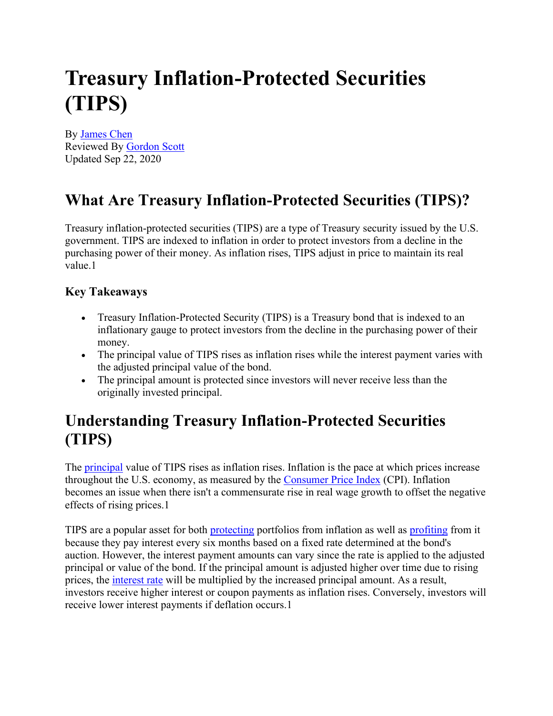# **Treasury Inflation-Protected Securities (TIPS)**

By [James Chen](https://www.investopedia.com/contributors/101529/) Reviewed By [Gordon Scott](https://www.investopedia.com/contributors/82594/) Updated Sep 22, 2020

### **What Are Treasury Inflation-Protected Securities (TIPS)?**

Treasury inflation-protected securities (TIPS) are a type of Treasury security issued by the U.S. government. TIPS are indexed to inflation in order to protect investors from a decline in the purchasing power of their money. As inflation rises, TIPS adjust in price to maintain its real value 1

#### **Key Takeaways**

- Treasury Inflation-Protected Security (TIPS) is a Treasury bond that is indexed to an inflationary gauge to protect investors from the decline in the purchasing power of their money.
- The principal value of TIPS rises as inflation rises while the interest payment varies with the adjusted principal value of the bond.
- The principal amount is protected since investors will never receive less than the originally invested principal.

#### **Understanding Treasury Inflation-Protected Securities (TIPS)**

The [principal](https://www.investopedia.com/terms/p/principal.asp) value of TIPS rises as inflation rises. Inflation is the pace at which prices increase throughout the U.S. economy, as measured by the [Consumer Price Index](https://www.investopedia.com/terms/c/consumerpriceindex.asp) (CPI). Inflation becomes an issue when there isn't a commensurate rise in real wage growth to offset the negative effects of rising prices.1

TIPS are a popular asset for both [protecting](https://www.investopedia.com/articles/investing/081315/9-top-assets-protection-against-inflation.asp) portfolios from inflation as well as [profiting](https://www.investopedia.com/articles/investing/080813/how-profit-inflation.asp) from it because they pay interest every six months based on a fixed rate determined at the bond's auction. However, the interest payment amounts can vary since the rate is applied to the adjusted principal or value of the bond. If the principal amount is adjusted higher over time due to rising prices, the [interest rate](https://www.investopedia.com/ask/answers/032515/what-difference-between-real-and-nominal-interest-rates.asp) will be multiplied by the increased principal amount. As a result, investors receive higher interest or coupon payments as inflation rises. Conversely, investors will receive lower interest payments if deflation occurs.1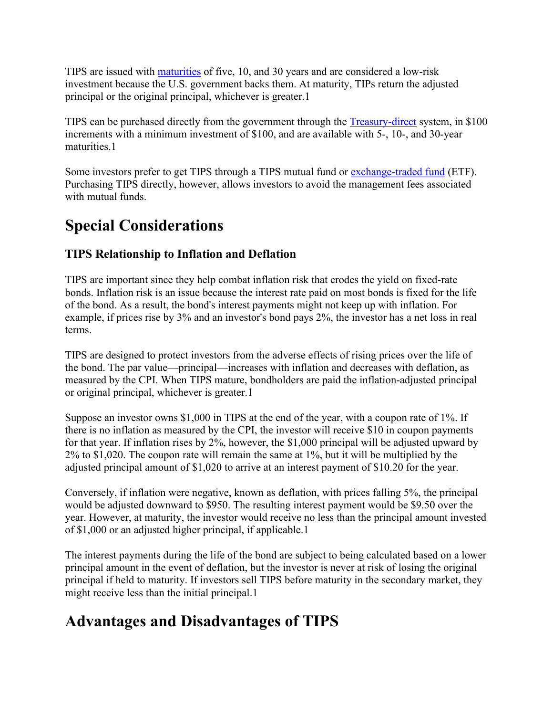TIPS are issued with [maturities](https://www.investopedia.com/terms/m/maturity.asp) of five, 10, and 30 years and are considered a low-risk investment because the U.S. government backs them. At maturity, TIPs return the adjusted principal or the original principal, whichever is greater.1

TIPS can be purchased directly from the government through the [Treasury-direct](https://www.treasurydirect.gov/indiv/products/prod_tips_glance.htm) system, in \$100 increments with a minimum investment of \$100, and are available with 5-, 10-, and 30-year maturities.1

Some investors prefer to get TIPS through a TIPS mutual fund or [exchange-traded fund](https://www.investopedia.com/terms/e/etf.asp) (ETF). Purchasing TIPS directly, however, allows investors to avoid the management fees associated with mutual funds.

### **Special Considerations**

#### **TIPS Relationship to Inflation and Deflation**

TIPS are important since they help combat inflation risk that erodes the yield on fixed-rate bonds. Inflation risk is an issue because the interest rate paid on most bonds is fixed for the life of the bond. As a result, the bond's interest payments might not keep up with inflation. For example, if prices rise by 3% and an investor's bond pays 2%, the investor has a net loss in real terms.

TIPS are designed to protect investors from the adverse effects of rising prices over the life of the bond. The par value—principal—increases with inflation and decreases with deflation, as measured by the CPI. When TIPS mature, bondholders are paid the inflation-adjusted principal or original principal, whichever is greater.1

Suppose an investor owns \$1,000 in TIPS at the end of the year, with a coupon rate of 1%. If there is no inflation as measured by the CPI, the investor will receive \$10 in coupon payments for that year. If inflation rises by 2%, however, the \$1,000 principal will be adjusted upward by 2% to \$1,020. The coupon rate will remain the same at 1%, but it will be multiplied by the adjusted principal amount of \$1,020 to arrive at an interest payment of \$10.20 for the year.

Conversely, if inflation were negative, known as deflation, with prices falling 5%, the principal would be adjusted downward to \$950. The resulting interest payment would be \$9.50 over the year. However, at maturity, the investor would receive no less than the principal amount invested of \$1,000 or an adjusted higher principal, if applicable.1

The interest payments during the life of the bond are subject to being calculated based on a lower principal amount in the event of deflation, but the investor is never at risk of losing the original principal if held to maturity. If investors sell TIPS before maturity in the secondary market, they might receive less than the initial principal.1

### **Advantages and Disadvantages of TIPS**